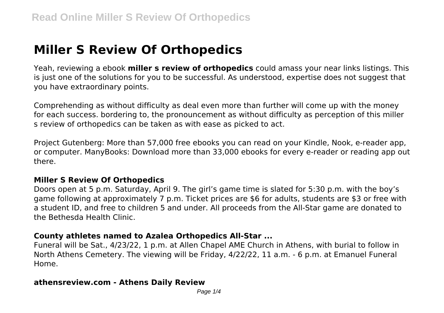# **Miller S Review Of Orthopedics**

Yeah, reviewing a ebook **miller s review of orthopedics** could amass your near links listings. This is just one of the solutions for you to be successful. As understood, expertise does not suggest that you have extraordinary points.

Comprehending as without difficulty as deal even more than further will come up with the money for each success. bordering to, the pronouncement as without difficulty as perception of this miller s review of orthopedics can be taken as with ease as picked to act.

Project Gutenberg: More than 57,000 free ebooks you can read on your Kindle, Nook, e-reader app, or computer. ManyBooks: Download more than 33,000 ebooks for every e-reader or reading app out there.

#### **Miller S Review Of Orthopedics**

Doors open at 5 p.m. Saturday, April 9. The girl's game time is slated for 5:30 p.m. with the boy's game following at approximately 7 p.m. Ticket prices are \$6 for adults, students are \$3 or free with a student ID, and free to children 5 and under. All proceeds from the All-Star game are donated to the Bethesda Health Clinic.

#### **County athletes named to Azalea Orthopedics All-Star ...**

Funeral will be Sat., 4/23/22, 1 p.m. at Allen Chapel AME Church in Athens, with burial to follow in North Athens Cemetery. The viewing will be Friday, 4/22/22, 11 a.m. - 6 p.m. at Emanuel Funeral Home.

#### **athensreview.com - Athens Daily Review**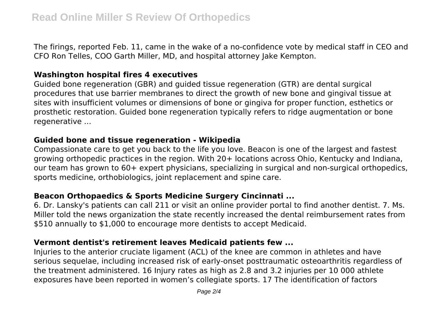The firings, reported Feb. 11, came in the wake of a no-confidence vote by medical staff in CEO and CFO Ron Telles, COO Garth Miller, MD, and hospital attorney Jake Kempton.

#### **Washington hospital fires 4 executives**

Guided bone regeneration (GBR) and guided tissue regeneration (GTR) are dental surgical procedures that use barrier membranes to direct the growth of new bone and gingival tissue at sites with insufficient volumes or dimensions of bone or gingiva for proper function, esthetics or prosthetic restoration. Guided bone regeneration typically refers to ridge augmentation or bone regenerative ...

#### **Guided bone and tissue regeneration - Wikipedia**

Compassionate care to get you back to the life you love. Beacon is one of the largest and fastest growing orthopedic practices in the region. With 20+ locations across Ohio, Kentucky and Indiana, our team has grown to 60+ expert physicians, specializing in surgical and non-surgical orthopedics, sports medicine, orthobiologics, joint replacement and spine care.

## **Beacon Orthopaedics & Sports Medicine Surgery Cincinnati ...**

6. Dr. Lansky's patients can call 211 or visit an online provider portal to find another dentist. 7. Ms. Miller told the news organization the state recently increased the dental reimbursement rates from \$510 annually to \$1,000 to encourage more dentists to accept Medicaid.

#### **Vermont dentist's retirement leaves Medicaid patients few ...**

Injuries to the anterior cruciate ligament (ACL) of the knee are common in athletes and have serious sequelae, including increased risk of early-onset posttraumatic osteoarthritis regardless of the treatment administered. 16 Injury rates as high as 2.8 and 3.2 injuries per 10 000 athlete exposures have been reported in women's collegiate sports. 17 The identification of factors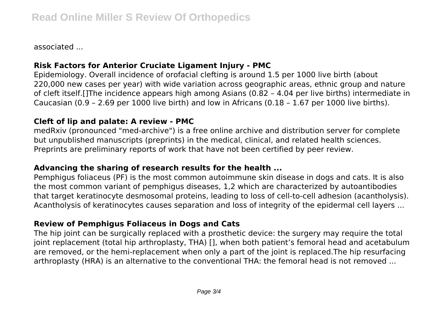associated ...

# **Risk Factors for Anterior Cruciate Ligament Injury - PMC**

Epidemiology. Overall incidence of orofacial clefting is around 1.5 per 1000 live birth (about 220,000 new cases per year) with wide variation across geographic areas, ethnic group and nature of cleft itself.[]The incidence appears high among Asians (0.82 – 4.04 per live births) intermediate in Caucasian (0.9 – 2.69 per 1000 live birth) and low in Africans (0.18 – 1.67 per 1000 live births).

## **Cleft of lip and palate: A review - PMC**

medRxiv (pronounced "med-archive") is a free online archive and distribution server for complete but unpublished manuscripts (preprints) in the medical, clinical, and related health sciences. Preprints are preliminary reports of work that have not been certified by peer review.

## **Advancing the sharing of research results for the health ...**

Pemphigus foliaceus (PF) is the most common autoimmune skin disease in dogs and cats. It is also the most common variant of pemphigus diseases, 1,2 which are characterized by autoantibodies that target keratinocyte desmosomal proteins, leading to loss of cell-to-cell adhesion (acantholysis). Acantholysis of keratinocytes causes separation and loss of integrity of the epidermal cell layers ...

## **Review of Pemphigus Foliaceus in Dogs and Cats**

The hip joint can be surgically replaced with a prosthetic device: the surgery may require the total joint replacement (total hip arthroplasty, THA) [], when both patient's femoral head and acetabulum are removed, or the hemi-replacement when only a part of the joint is replaced.The hip resurfacing arthroplasty (HRA) is an alternative to the conventional THA: the femoral head is not removed ...